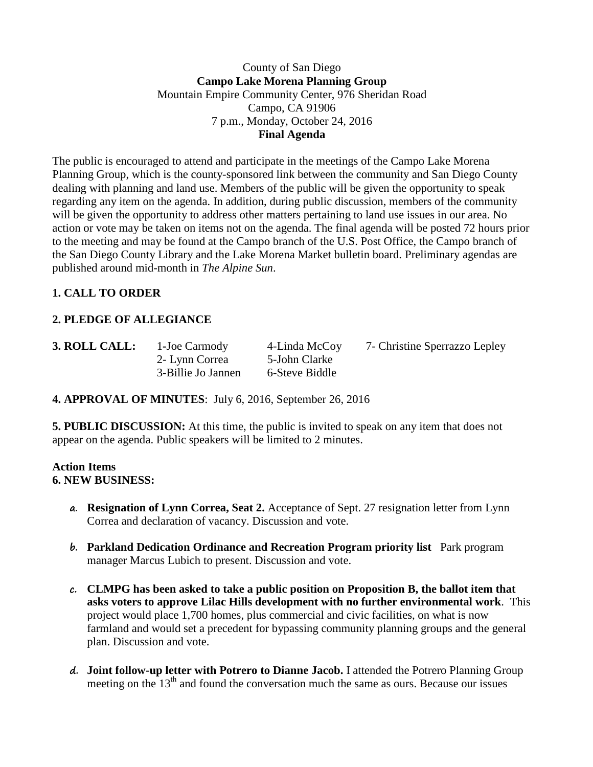#### County of San Diego **Campo Lake Morena Planning Group** Mountain Empire Community Center, 976 Sheridan Road Campo, CA 91906 7 p.m., Monday, October 24, 2016 **Final Agenda**

The public is encouraged to attend and participate in the meetings of the Campo Lake Morena Planning Group, which is the county-sponsored link between the community and San Diego County dealing with planning and land use. Members of the public will be given the opportunity to speak regarding any item on the agenda. In addition, during public discussion, members of the community will be given the opportunity to address other matters pertaining to land use issues in our area. No action or vote may be taken on items not on the agenda. The final agenda will be posted 72 hours prior to the meeting and may be found at the Campo branch of the U.S. Post Office, the Campo branch of the San Diego County Library and the Lake Morena Market bulletin board. Preliminary agendas are published around mid-month in *The Alpine Sun*.

# **1. CALL TO ORDER**

## **2. PLEDGE OF ALLEGIANCE**

2- Lynn Correa 5-John Clarke 3-Billie Jo Jannen 6-Steve Biddle

**3. ROLL CALL:** 1**-**Joe Carmody 4-Linda McCoy 7- Christine Sperrazzo Lepley

**4. APPROVAL OF MINUTES**: July 6, 2016, September 26, 2016

**5. PUBLIC DISCUSSION:** At this time, the public is invited to speak on any item that does not appear on the agenda. Public speakers will be limited to 2 minutes.

#### **Action Items 6. NEW BUSINESS:**

- **a. Resignation of Lynn Correa, Seat 2.** Acceptance of Sept. 27 resignation letter from Lynn Correa and declaration of vacancy. Discussion and vote.
- **b. Parkland Dedication Ordinance and Recreation Program priority list** Park program manager Marcus Lubich to present. Discussion and vote.
- **c. CLMPG has been asked to take a public position on Proposition B, the ballot item that asks voters to approve Lilac Hills development with no further environmental work**. This project would place 1,700 homes, plus commercial and civic facilities, on what is now farmland and would set a precedent for bypassing community planning groups and the general plan. Discussion and vote.
- **d. Joint follow-up letter with Potrero to Dianne Jacob.** I attended the Potrero Planning Group meeting on the  $13<sup>th</sup>$  and found the conversation much the same as ours. Because our issues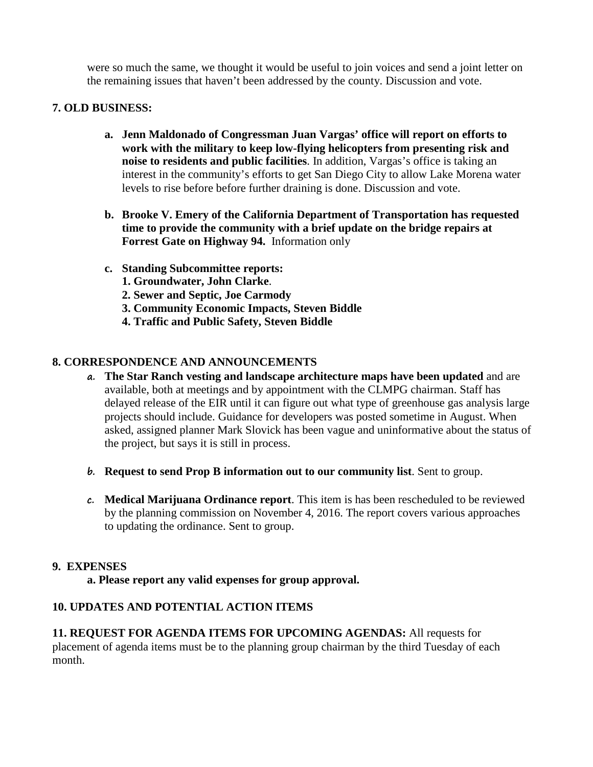were so much the same, we thought it would be useful to join voices and send a joint letter on the remaining issues that haven't been addressed by the county. Discussion and vote.

#### **7. OLD BUSINESS:**

- **a. Jenn Maldonado of Congressman Juan Vargas' office will report on efforts to work with the military to keep low-flying helicopters from presenting risk and noise to residents and public facilities**. In addition, Vargas's office is taking an interest in the community's efforts to get San Diego City to allow Lake Morena water levels to rise before before further draining is done. Discussion and vote.
- **b. Brooke V. Emery of the California Department of Transportation has requested time to provide the community with a brief update on the bridge repairs at Forrest Gate on Highway 94.** Information only
- **c. Standing Subcommittee reports:**
	- **1. Groundwater, John Clarke**.
	- **2. Sewer and Septic, Joe Carmody**
	- **3. Community Economic Impacts, Steven Biddle**
	- **4. Traffic and Public Safety, Steven Biddle**

### **8. CORRESPONDENCE AND ANNOUNCEMENTS**

- **a. The Star Ranch vesting and landscape architecture maps have been updated** and are available, both at meetings and by appointment with the CLMPG chairman. Staff has delayed release of the EIR until it can figure out what type of greenhouse gas analysis large projects should include. Guidance for developers was posted sometime in August. When asked, assigned planner Mark Slovick has been vague and uninformative about the status of the project, but says it is still in process.
- **b. Request to send Prop B information out to our community list**. Sent to group.
- **c. Medical Marijuana Ordinance report**. This item is has been rescheduled to be reviewed by the planning commission on November 4, 2016. The report covers various approaches to updating the ordinance. Sent to group.

#### **9. EXPENSES**

**a. Please report any valid expenses for group approval.**

### **10. UPDATES AND POTENTIAL ACTION ITEMS**

**11. REQUEST FOR AGENDA ITEMS FOR UPCOMING AGENDAS:** All requests for placement of agenda items must be to the planning group chairman by the third Tuesday of each month.